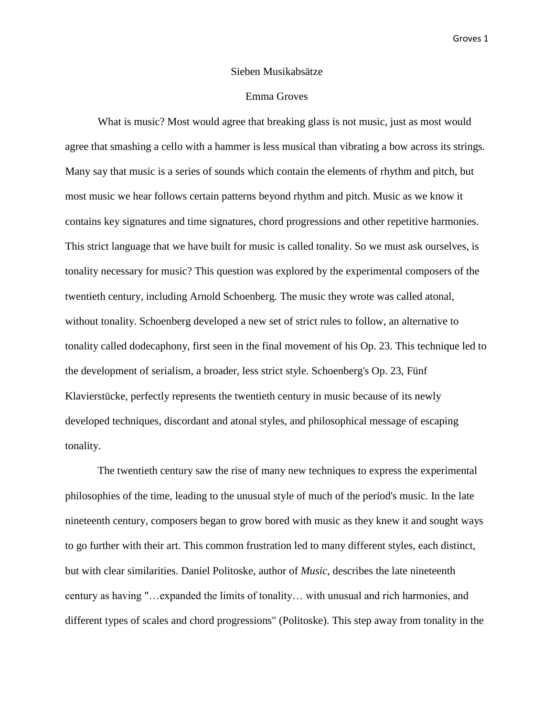## Sieben Musikabsätze

## Emma Groves

What is music? Most would agree that breaking glass is not music, just as most would agree that smashing a cello with a hammer is less musical than vibrating a bow across its strings. Many say that music is a series of sounds which contain the elements of rhythm and pitch, but most music we hear follows certain patterns beyond rhythm and pitch. Music as we know it contains key signatures and time signatures, chord progressions and other repetitive harmonies. This strict language that we have built for music is called tonality. So we must ask ourselves, is tonality necessary for music? This question was explored by the experimental composers of the twentieth century, including Arnold Schoenberg. The music they wrote was called atonal, without tonality. Schoenberg developed a new set of strict rules to follow, an alternative to tonality called dodecaphony, first seen in the final movement of his Op. 23. This technique led to the development of serialism, a broader, less strict style. Schoenberg's Op. 23, Fünf Klavierstücke, perfectly represents the twentieth century in music because of its newly developed techniques, discordant and atonal styles, and philosophical message of escaping tonality.

The twentieth century saw the rise of many new techniques to express the experimental philosophies of the time, leading to the unusual style of much of the period's music. In the late nineteenth century, composers began to grow bored with music as they knew it and sought ways to go further with their art. This common frustration led to many different styles, each distinct, but with clear similarities. Daniel Politoske, author of *Music*, describes the late nineteenth century as having "…expanded the limits of tonality… with unusual and rich harmonies, and different types of scales and chord progressions" (Politoske). This step away from tonality in the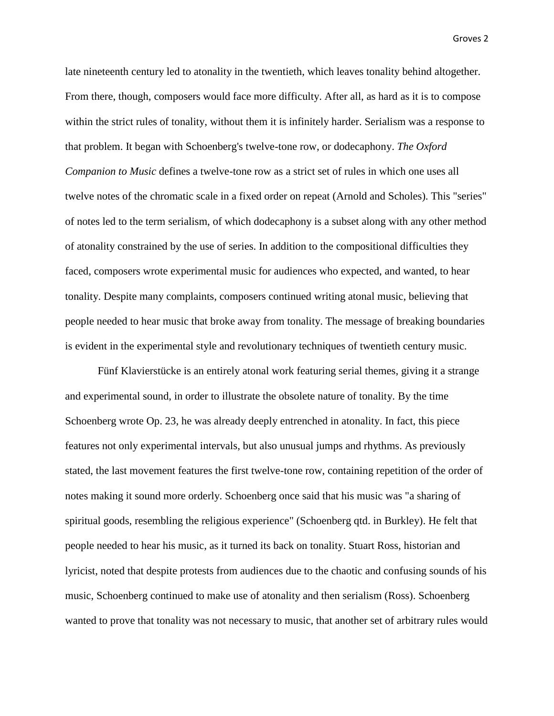late nineteenth century led to atonality in the twentieth, which leaves tonality behind altogether. From there, though, composers would face more difficulty. After all, as hard as it is to compose within the strict rules of tonality, without them it is infinitely harder. Serialism was a response to that problem. It began with Schoenberg's twelve-tone row, or dodecaphony. *The Oxford Companion to Music* defines a twelve-tone row as a strict set of rules in which one uses all twelve notes of the chromatic scale in a fixed order on repeat (Arnold and Scholes). This "series" of notes led to the term serialism, of which dodecaphony is a subset along with any other method of atonality constrained by the use of series. In addition to the compositional difficulties they faced, composers wrote experimental music for audiences who expected, and wanted, to hear tonality. Despite many complaints, composers continued writing atonal music, believing that people needed to hear music that broke away from tonality. The message of breaking boundaries is evident in the experimental style and revolutionary techniques of twentieth century music.

Fünf Klavierstücke is an entirely atonal work featuring serial themes, giving it a strange and experimental sound, in order to illustrate the obsolete nature of tonality. By the time Schoenberg wrote Op. 23, he was already deeply entrenched in atonality. In fact, this piece features not only experimental intervals, but also unusual jumps and rhythms. As previously stated, the last movement features the first twelve-tone row, containing repetition of the order of notes making it sound more orderly. Schoenberg once said that his music was "a sharing of spiritual goods, resembling the religious experience" (Schoenberg qtd. in Burkley). He felt that people needed to hear his music, as it turned its back on tonality. Stuart Ross, historian and lyricist, noted that despite protests from audiences due to the chaotic and confusing sounds of his music, Schoenberg continued to make use of atonality and then serialism (Ross). Schoenberg wanted to prove that tonality was not necessary to music, that another set of arbitrary rules would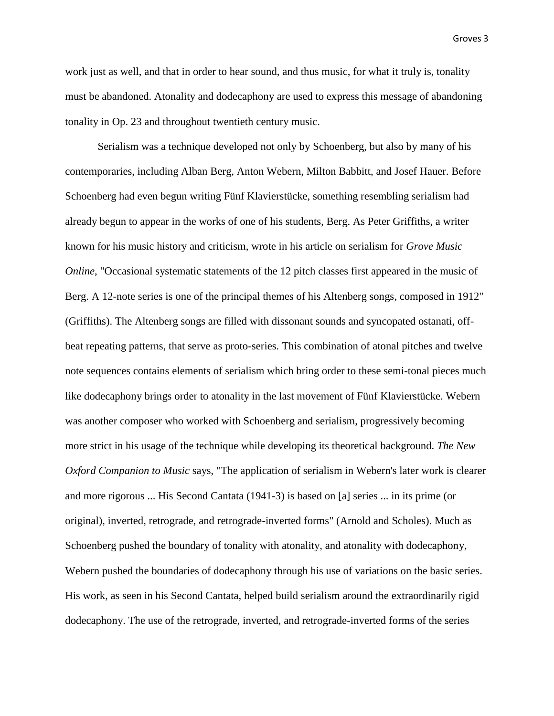work just as well, and that in order to hear sound, and thus music, for what it truly is, tonality must be abandoned. Atonality and dodecaphony are used to express this message of abandoning tonality in Op. 23 and throughout twentieth century music.

Serialism was a technique developed not only by Schoenberg, but also by many of his contemporaries, including Alban Berg, Anton Webern, Milton Babbitt, and Josef Hauer. Before Schoenberg had even begun writing Fünf Klavierstücke, something resembling serialism had already begun to appear in the works of one of his students, Berg. As Peter Griffiths, a writer known for his music history and criticism, wrote in his article on serialism for *Grove Music Online*, "Occasional systematic statements of the 12 pitch classes first appeared in the music of Berg. A 12-note series is one of the principal themes of his Altenberg songs, composed in 1912" (Griffiths). The Altenberg songs are filled with dissonant sounds and syncopated ostanati, offbeat repeating patterns, that serve as proto-series. This combination of atonal pitches and twelve note sequences contains elements of serialism which bring order to these semi-tonal pieces much like dodecaphony brings order to atonality in the last movement of Fünf Klavierstücke. Webern was another composer who worked with Schoenberg and serialism, progressively becoming more strict in his usage of the technique while developing its theoretical background. *The New Oxford Companion to Music* says, "The application of serialism in Webern's later work is clearer and more rigorous ... His Second Cantata (1941-3) is based on [a] series ... in its prime (or original), inverted, retrograde, and retrograde-inverted forms" (Arnold and Scholes). Much as Schoenberg pushed the boundary of tonality with atonality, and atonality with dodecaphony, Webern pushed the boundaries of dodecaphony through his use of variations on the basic series. His work, as seen in his Second Cantata, helped build serialism around the extraordinarily rigid dodecaphony. The use of the retrograde, inverted, and retrograde-inverted forms of the series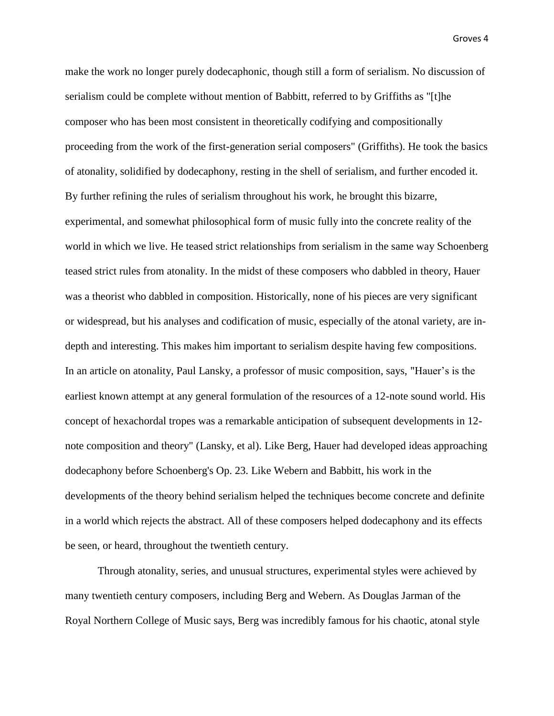make the work no longer purely dodecaphonic, though still a form of serialism. No discussion of serialism could be complete without mention of Babbitt, referred to by Griffiths as "[t]he composer who has been most consistent in theoretically codifying and compositionally proceeding from the work of the first-generation serial composers" (Griffiths). He took the basics of atonality, solidified by dodecaphony, resting in the shell of serialism, and further encoded it. By further refining the rules of serialism throughout his work, he brought this bizarre, experimental, and somewhat philosophical form of music fully into the concrete reality of the world in which we live. He teased strict relationships from serialism in the same way Schoenberg teased strict rules from atonality. In the midst of these composers who dabbled in theory, Hauer was a theorist who dabbled in composition. Historically, none of his pieces are very significant or widespread, but his analyses and codification of music, especially of the atonal variety, are indepth and interesting. This makes him important to serialism despite having few compositions. In an article on atonality, Paul Lansky, a professor of music composition, says, "Hauer's is the earliest known attempt at any general formulation of the resources of a 12-note sound world. His concept of hexachordal tropes was a remarkable anticipation of subsequent developments in 12 note composition and theory" (Lansky, et al). Like Berg, Hauer had developed ideas approaching dodecaphony before Schoenberg's Op. 23. Like Webern and Babbitt, his work in the developments of the theory behind serialism helped the techniques become concrete and definite in a world which rejects the abstract. All of these composers helped dodecaphony and its effects be seen, or heard, throughout the twentieth century.

Through atonality, series, and unusual structures, experimental styles were achieved by many twentieth century composers, including Berg and Webern. As Douglas Jarman of the Royal Northern College of Music says, Berg was incredibly famous for his chaotic, atonal style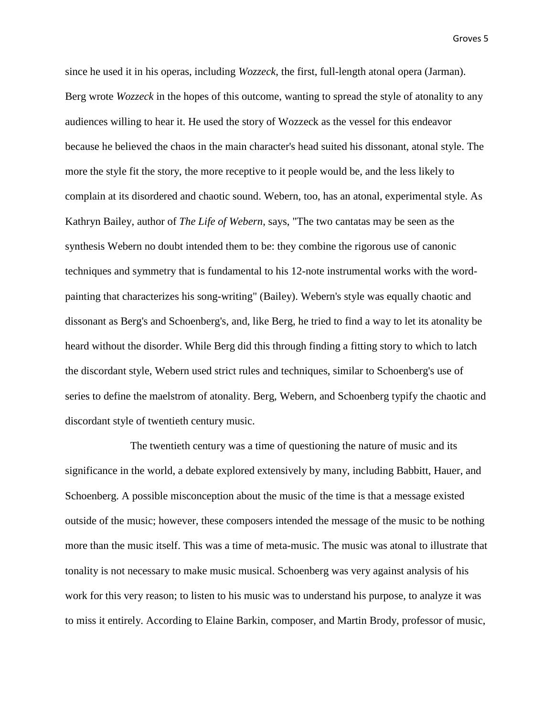since he used it in his operas, including *Wozzeck*, the first, full-length atonal opera (Jarman). Berg wrote *Wozzeck* in the hopes of this outcome, wanting to spread the style of atonality to any audiences willing to hear it. He used the story of Wozzeck as the vessel for this endeavor because he believed the chaos in the main character's head suited his dissonant, atonal style. The more the style fit the story, the more receptive to it people would be, and the less likely to complain at its disordered and chaotic sound. Webern, too, has an atonal, experimental style. As Kathryn Bailey, author of *The Life of Webern*, says, "The two cantatas may be seen as the synthesis Webern no doubt intended them to be: they combine the rigorous use of canonic techniques and symmetry that is fundamental to his 12-note instrumental works with the wordpainting that characterizes his song-writing" (Bailey). Webern's style was equally chaotic and dissonant as Berg's and Schoenberg's, and, like Berg, he tried to find a way to let its atonality be heard without the disorder. While Berg did this through finding a fitting story to which to latch the discordant style, Webern used strict rules and techniques, similar to Schoenberg's use of series to define the maelstrom of atonality. Berg, Webern, and Schoenberg typify the chaotic and discordant style of twentieth century music.

The twentieth century was a time of questioning the nature of music and its significance in the world, a debate explored extensively by many, including Babbitt, Hauer, and Schoenberg. A possible misconception about the music of the time is that a message existed outside of the music; however, these composers intended the message of the music to be nothing more than the music itself. This was a time of meta-music. The music was atonal to illustrate that tonality is not necessary to make music musical. Schoenberg was very against analysis of his work for this very reason; to listen to his music was to understand his purpose, to analyze it was to miss it entirely. According to Elaine Barkin, composer, and Martin Brody, professor of music,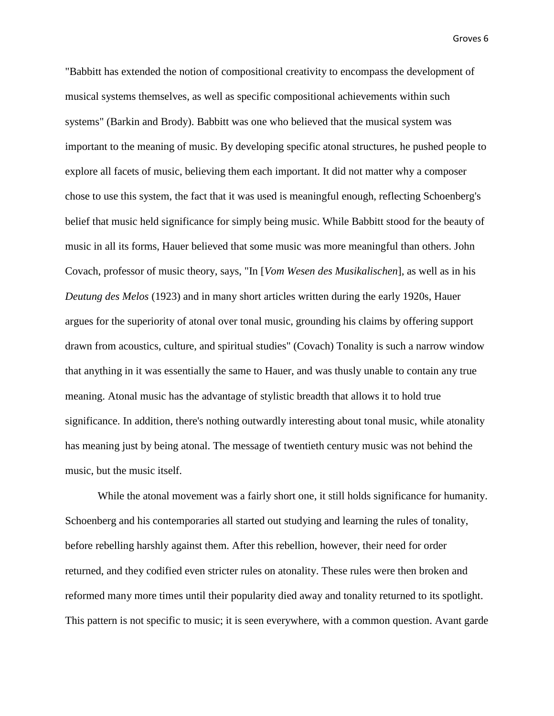"Babbitt has extended the notion of compositional creativity to encompass the development of musical systems themselves, as well as specific compositional achievements within such systems" (Barkin and Brody). Babbitt was one who believed that the musical system was important to the meaning of music. By developing specific atonal structures, he pushed people to explore all facets of music, believing them each important. It did not matter why a composer chose to use this system, the fact that it was used is meaningful enough, reflecting Schoenberg's belief that music held significance for simply being music. While Babbitt stood for the beauty of music in all its forms, Hauer believed that some music was more meaningful than others. John Covach, professor of music theory, says, "In [*Vom Wesen des Musikalischen*], as well as in his *Deutung des Melos* (1923) and in many short articles written during the early 1920s, Hauer argues for the superiority of atonal over tonal music, grounding his claims by offering support drawn from acoustics, culture, and spiritual studies" (Covach) Tonality is such a narrow window that anything in it was essentially the same to Hauer, and was thusly unable to contain any true meaning. Atonal music has the advantage of stylistic breadth that allows it to hold true significance. In addition, there's nothing outwardly interesting about tonal music, while atonality has meaning just by being atonal. The message of twentieth century music was not behind the music, but the music itself.

While the atonal movement was a fairly short one, it still holds significance for humanity. Schoenberg and his contemporaries all started out studying and learning the rules of tonality, before rebelling harshly against them. After this rebellion, however, their need for order returned, and they codified even stricter rules on atonality. These rules were then broken and reformed many more times until their popularity died away and tonality returned to its spotlight. This pattern is not specific to music; it is seen everywhere, with a common question. Avant garde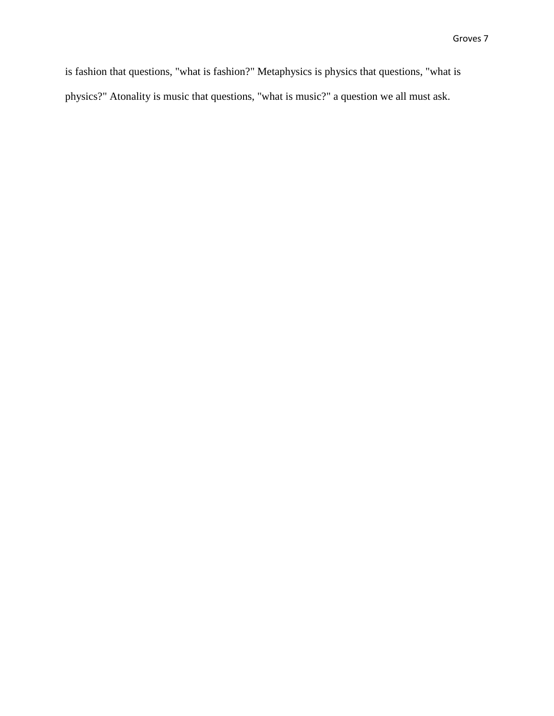is fashion that questions, "what is fashion?" Metaphysics is physics that questions, "what is physics?" Atonality is music that questions, "what is music?" a question we all must ask.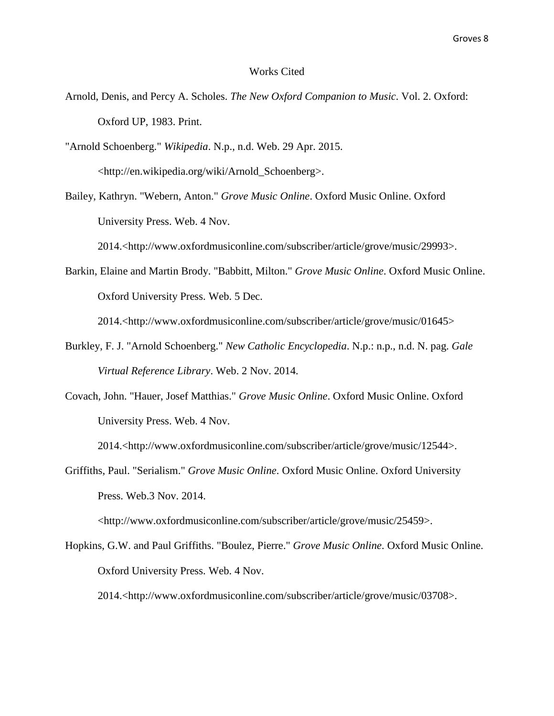## Works Cited

Arnold, Denis, and Percy A. Scholes. *The New Oxford Companion to Music*. Vol. 2. Oxford: Oxford UP, 1983. Print.

"Arnold Schoenberg." *Wikipedia*. N.p., n.d. Web. 29 Apr. 2015. <http://en.wikipedia.org/wiki/Arnold\_Schoenberg>.

Bailey, Kathryn. "Webern, Anton." *Grove Music Online*. Oxford Music Online. Oxford University Press. Web. 4 Nov.

2014.<http://www.oxfordmusiconline.com/subscriber/article/grove/music/29993>.

Barkin, Elaine and Martin Brody. "Babbitt, Milton." *Grove Music Online*. Oxford Music Online. Oxford University Press. Web. 5 Dec.

2014.<http://www.oxfordmusiconline.com/subscriber/article/grove/music/01645>

- Burkley, F. J. "Arnold Schoenberg." *New Catholic Encyclopedia*. N.p.: n.p., n.d. N. pag. *Gale Virtual Reference Library*. Web. 2 Nov. 2014.
- Covach, John. "Hauer, Josef Matthias." *Grove Music Online*. Oxford Music Online. Oxford University Press. Web. 4 Nov.

2014.<http://www.oxfordmusiconline.com/subscriber/article/grove/music/12544>.

Griffiths, Paul. "Serialism." *Grove Music Online*. Oxford Music Online. Oxford University Press. Web.3 Nov. 2014.

<http://www.oxfordmusiconline.com/subscriber/article/grove/music/25459>.

Hopkins, G.W. and Paul Griffiths. "Boulez, Pierre." *Grove Music Online*. Oxford Music Online. Oxford University Press. Web. 4 Nov.

2014.<http://www.oxfordmusiconline.com/subscriber/article/grove/music/03708>.